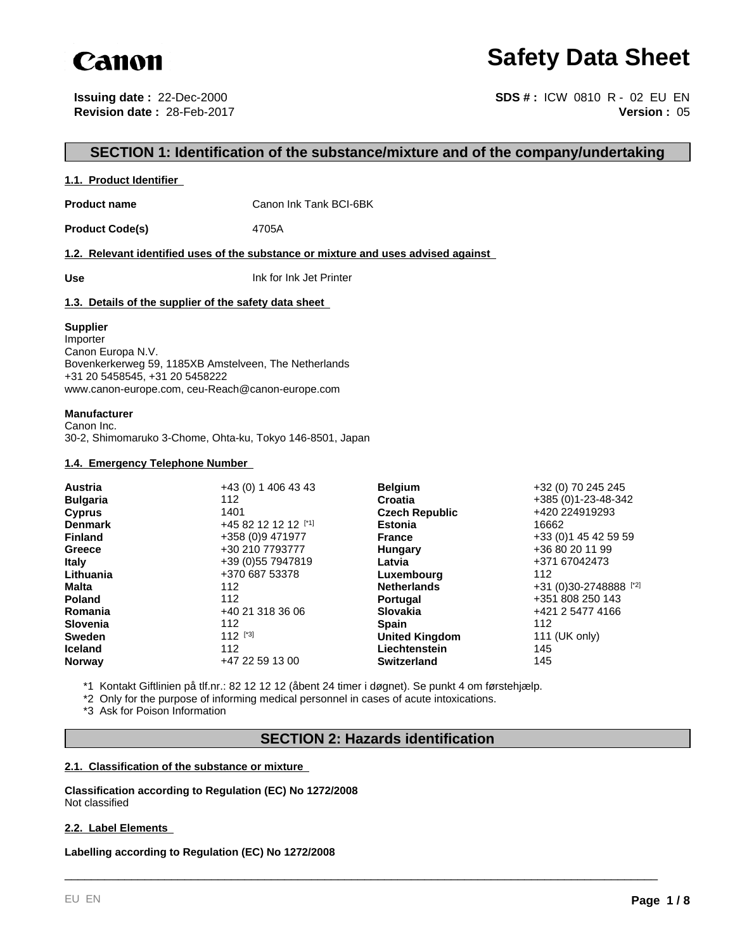

# **Safety Data Sheet**

**Issuing date :** 22-Dec-2000 **Revision date :** 28-Feb-2017

**Version :** 05 **SDS # :** ICW 0810 R - 02 EU EN

## **SECTION 1: Identification of the substance/mixture and of the company/undertaking**

#### **1.1. Product Identifier**

**Product name** Canon Ink Tank BCI-6BK

Product Code(s) 4705A

**1.2. Relevant identified uses of the substance or mixture and uses advised against** 

**Use** Ink for Ink Jet Printer

#### **1.3. Details of the supplier of the safety data sheet**

#### **Supplier**

Importer Canon Europa N.V. Bovenkerkerweg 59, 1185XB Amstelveen, The Netherlands +31 20 5458545, +31 20 5458222 www.canon-europe.com, ceu-Reach@canon-europe.com

#### **Manufacturer**

Canon Inc. 30-2, Shimomaruko 3-Chome, Ohta-ku, Tokyo 146-8501, Japan

#### **1.4. Emergency Telephone Number**

| <b>Austria</b>  | +43 (0) 1 406 43 43 | <b>Belgium</b>        | +32 (0) 70 245 245     |
|-----------------|---------------------|-----------------------|------------------------|
| <b>Bulgaria</b> | 112                 | Croatia               | +385 (0)1-23-48-342    |
| <b>Cyprus</b>   | 1401                | <b>Czech Republic</b> | +420 224919293         |
| <b>Denmark</b>  | +45 82 12 12 12 [1] | <b>Estonia</b>        | 16662                  |
| <b>Finland</b>  | +358 (0)9 471977    | <b>France</b>         | +33 (0) 1 45 42 59 59  |
| Greece          | +30 210 7793777     | Hungary               | +36 80 20 11 99        |
| <b>Italy</b>    | +39 (0) 55 7947819  | Latvia                | +371 67042473          |
| Lithuania       | +370 687 53378      | Luxembourg            | 112                    |
| Malta           | 112                 | <b>Netherlands</b>    | +31 (0)30-2748888 [*2] |
| <b>Poland</b>   | 112                 | <b>Portugal</b>       | +351 808 250 143       |
| Romania         | +40 21 318 36 06    | <b>Slovakia</b>       | +421 2 5477 4166       |
| <b>Slovenia</b> | 112                 | <b>Spain</b>          | 112                    |
| <b>Sweden</b>   | $112$ [*3]          | <b>United Kingdom</b> | 111 (UK only)          |
| <b>Iceland</b>  | 112                 | Liechtenstein         | 145                    |
| <b>Norway</b>   | +47 22 59 13 00     | <b>Switzerland</b>    | 145                    |

\*1 Kontakt Giftlinien på tlf.nr.: 82 12 12 12 (åbent 24 timer i døgnet). Se punkt 4 om førstehjælp.

\*2 Only for the purpose of informing medical personnel in cases of acute intoxications.

\*3 Ask for Poison Information

#### **SECTION 2: Hazards identification**

\_\_\_\_\_\_\_\_\_\_\_\_\_\_\_\_\_\_\_\_\_\_\_\_\_\_\_\_\_\_\_\_\_\_\_\_\_\_\_\_\_\_\_\_\_\_\_\_\_\_\_\_\_\_\_\_\_\_\_\_\_\_\_\_\_\_\_\_\_\_\_\_\_\_\_\_\_\_\_\_\_\_\_\_\_\_\_\_\_

#### **2.1. Classification of the substance or mixture**

**Classification according to Regulation (EC) No 1272/2008** Not classified

#### **2.2. Label Elements**

**Labelling according to Regulation (EC) No 1272/2008**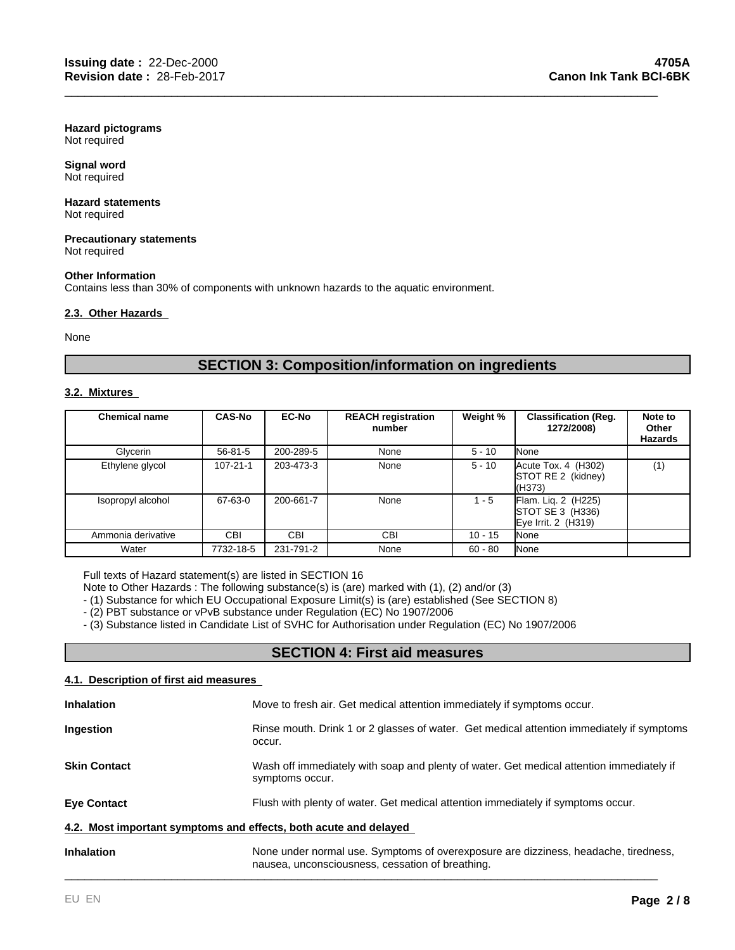**Hazard pictograms** Not required

#### **Signal word** Not required

## **Hazard statements**

Not required

#### **Precautionary statements** Not required

#### **Other Information**

Contains less than 30% of components with unknown hazards to the aquatic environment.

#### **2.3. Other Hazards**

None

## **SECTION 3: Composition/information on ingredients**

\_\_\_\_\_\_\_\_\_\_\_\_\_\_\_\_\_\_\_\_\_\_\_\_\_\_\_\_\_\_\_\_\_\_\_\_\_\_\_\_\_\_\_\_\_\_\_\_\_\_\_\_\_\_\_\_\_\_\_\_\_\_\_\_\_\_\_\_\_\_\_\_\_\_\_\_\_\_\_\_\_\_\_\_\_\_\_\_\_

#### **3.2. Mixtures**

| <b>Chemical name</b> | <b>CAS-No</b>  | <b>EC-No</b> | <b>REACH registration</b><br>number | Weight %  | <b>Classification (Reg.</b><br>1272/2008)                      | Note to<br>Other<br><b>Hazards</b> |
|----------------------|----------------|--------------|-------------------------------------|-----------|----------------------------------------------------------------|------------------------------------|
| Glycerin             | $56 - 81 - 5$  | 200-289-5    | None                                | $5 - 10$  | None                                                           |                                    |
| Ethylene glycol      | $107 - 21 - 1$ | 203-473-3    | None                                | $5 - 10$  | $Accute$ Tox. 4 $(H302)$<br>STOT RE 2 (kidney)<br>(H373)       | (1)                                |
| Isopropyl alcohol    | 67-63-0        | 200-661-7    | None                                | $1 - 5$   | Flam. Liq. 2 (H225)<br>STOT SE 3 (H336)<br>Eye Irrit. 2 (H319) |                                    |
| Ammonia derivative   | <b>CBI</b>     | <b>CBI</b>   | CBI                                 | $10 - 15$ | None                                                           |                                    |
| Water                | 7732-18-5      | 231-791-2    | None                                | $60 - 80$ | None                                                           |                                    |

Full texts of Hazard statement(s) are listed in SECTION 16

Note to Other Hazards : The following substance(s) is (are) marked with (1), (2) and/or (3)

- (1) Substance for which EU Occupational Exposure Limit(s) is (are) established (See SECTION 8)

- (2) PBT substance or vPvB substance under Regulation (EC) No 1907/2006

- (3) Substance listed in Candidate List of SVHC for Authorisation under Regulation (EC) No 1907/2006

## **SECTION 4: First aid measures**

#### **4.1. Description of first aid measures**

| <b>Inhalation</b>                                                                                      | Move to fresh air. Get medical attention immediately if symptoms occur.                                                                 |  |
|--------------------------------------------------------------------------------------------------------|-----------------------------------------------------------------------------------------------------------------------------------------|--|
| Ingestion                                                                                              | Rinse mouth. Drink 1 or 2 glasses of water. Get medical attention immediately if symptoms<br>occur.                                     |  |
| <b>Skin Contact</b>                                                                                    | Wash off immediately with soap and plenty of water. Get medical attention immediately if<br>symptoms occur.                             |  |
| Flush with plenty of water. Get medical attention immediately if symptoms occur.<br><b>Eye Contact</b> |                                                                                                                                         |  |
| 4.2. Most important symptoms and effects, both acute and delayed                                       |                                                                                                                                         |  |
| <b>Inhalation</b>                                                                                      | None under normal use. Symptoms of overexposure are dizziness, headache, tiredness,<br>nausea, unconsciousness, cessation of breathing. |  |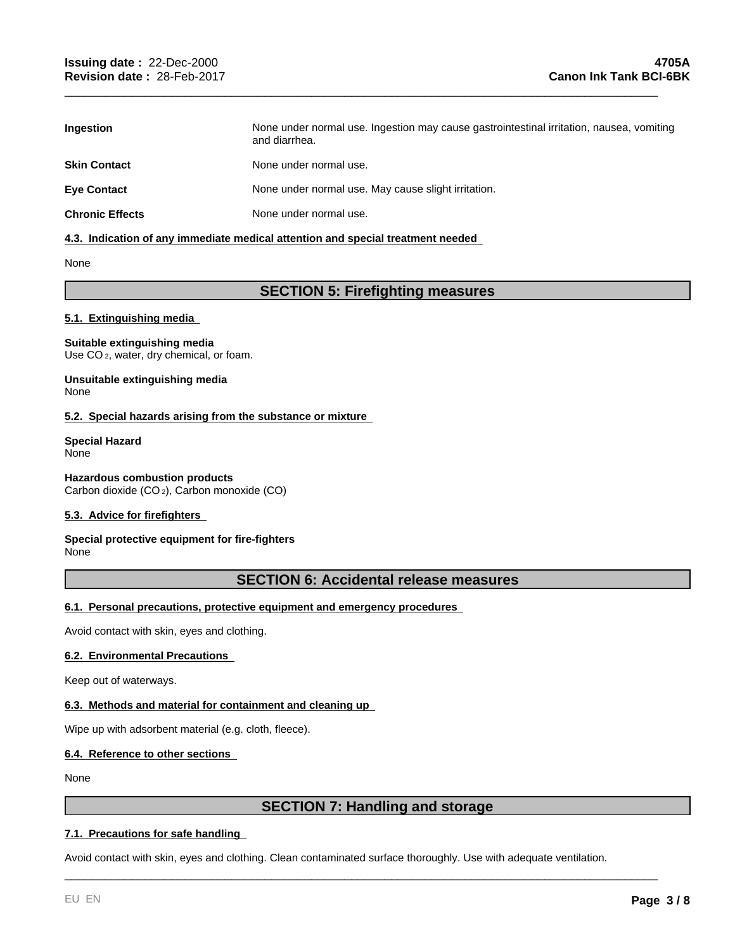| <b>Ingestion</b>       | None under normal use. Ingestion may cause gastrointestinal irritation, nausea, vomiting<br>and diarrhea. |
|------------------------|-----------------------------------------------------------------------------------------------------------|
| <b>Skin Contact</b>    | None under normal use.                                                                                    |
| <b>Eve Contact</b>     | None under normal use. May cause slight irritation.                                                       |
| <b>Chronic Effects</b> | None under normal use.                                                                                    |

\_\_\_\_\_\_\_\_\_\_\_\_\_\_\_\_\_\_\_\_\_\_\_\_\_\_\_\_\_\_\_\_\_\_\_\_\_\_\_\_\_\_\_\_\_\_\_\_\_\_\_\_\_\_\_\_\_\_\_\_\_\_\_\_\_\_\_\_\_\_\_\_\_\_\_\_\_\_\_\_\_\_\_\_\_\_\_\_\_

#### **4.3. Indication of any immediate medical attention and special treatment needed**

None

## **SECTION 5: Firefighting measures**

#### **5.1. Extinguishing media**

#### **Suitable extinguishing media** Use CO<sub>2</sub>, water, dry chemical, or foam.

**Unsuitable extinguishing media** None

#### **5.2. Special hazards arising from the substance or mixture**

**Special Hazard** None

#### **Hazardous combustion products** Carbon dioxide (CO 2), Carbon monoxide (CO)

#### **5.3. Advice for firefighters**

#### **Special protective equipment for fire-fighters None**

## **SECTION 6: Accidental release measures**

#### **6.1. Personal precautions, protective equipment and emergency procedures**

Avoid contact with skin, eyes and clothing.

#### **6.2. Environmental Precautions**

Keep out of waterways.

#### **6.3. Methods and material for containment and cleaning up**

Wipe up with adsorbent material (e.g. cloth, fleece).

#### **6.4. Reference to other sections**

None

## **SECTION 7: Handling and storage**

\_\_\_\_\_\_\_\_\_\_\_\_\_\_\_\_\_\_\_\_\_\_\_\_\_\_\_\_\_\_\_\_\_\_\_\_\_\_\_\_\_\_\_\_\_\_\_\_\_\_\_\_\_\_\_\_\_\_\_\_\_\_\_\_\_\_\_\_\_\_\_\_\_\_\_\_\_\_\_\_\_\_\_\_\_\_\_\_\_

#### **7.1. Precautions for safe handling**

Avoid contact with skin, eyes and clothing. Clean contaminated surface thoroughly. Use with adequate ventilation.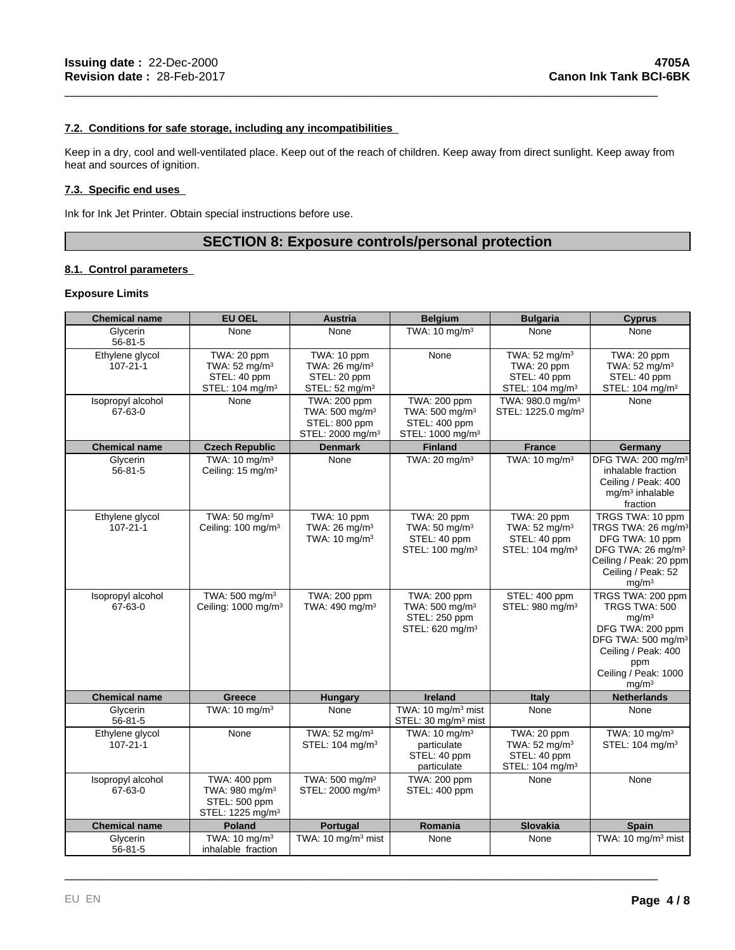#### **7.2. Conditions for safe storage, including any incompatibilities**

Keep in a dry, cool and well-ventilated place. Keep out of the reach of children. Keep away from direct sunlight. Keep away from heat and sources of ignition.

\_\_\_\_\_\_\_\_\_\_\_\_\_\_\_\_\_\_\_\_\_\_\_\_\_\_\_\_\_\_\_\_\_\_\_\_\_\_\_\_\_\_\_\_\_\_\_\_\_\_\_\_\_\_\_\_\_\_\_\_\_\_\_\_\_\_\_\_\_\_\_\_\_\_\_\_\_\_\_\_\_\_\_\_\_\_\_\_\_

#### **7.3. Specific end uses**

Ink for Ink Jet Printer. Obtain special instructions before use.

## **SECTION 8: Exposure controls/personal protection**

#### **8.1. Control parameters**

#### **Exposure Limits**

| <b>Chemical name</b>              | <b>EU OEL</b>                                                                               | <b>Austria</b>                                                                              | <b>Belgium</b>                                                                              | <b>Bulgaria</b>                                                                         | <b>Cyprus</b>                                                                                                                                                                            |
|-----------------------------------|---------------------------------------------------------------------------------------------|---------------------------------------------------------------------------------------------|---------------------------------------------------------------------------------------------|-----------------------------------------------------------------------------------------|------------------------------------------------------------------------------------------------------------------------------------------------------------------------------------------|
| Glycerin<br>$56 - 81 - 5$         | None                                                                                        | None                                                                                        | TWA: $10 \text{ mg/m}^3$                                                                    | None                                                                                    | None                                                                                                                                                                                     |
| Ethylene glycol<br>$107 - 21 - 1$ | TWA: 20 ppm<br>TWA: 52 mg/m <sup>3</sup><br>STEL: 40 ppm<br>STEL: 104 mg/m <sup>3</sup>     | TWA: 10 ppm<br>TWA: 26 mg/m <sup>3</sup><br>STEL: 20 ppm<br>STEL: 52 mg/m <sup>3</sup>      | None                                                                                        | TWA: 52 mg/m <sup>3</sup><br>TWA: 20 ppm<br>STEL: 40 ppm<br>STEL: 104 mg/m <sup>3</sup> | TWA: 20 ppm<br>TWA: 52 mg/m <sup>3</sup><br>STEL: 40 ppm<br>STEL: 104 mg/m <sup>3</sup>                                                                                                  |
| Isopropyl alcohol<br>67-63-0      | None                                                                                        | TWA: 200 ppm<br>TWA: 500 mg/m <sup>3</sup><br>STEL: 800 ppm<br>STEL: 2000 mg/m <sup>3</sup> | TWA: 200 ppm<br>TWA: 500 mg/m <sup>3</sup><br>STEL: 400 ppm<br>STEL: 1000 mg/m <sup>3</sup> | TWA: 980.0 mg/m <sup>3</sup><br>STEL: 1225.0 mg/m <sup>3</sup>                          | None                                                                                                                                                                                     |
| <b>Chemical name</b>              | <b>Czech Republic</b>                                                                       | <b>Denmark</b>                                                                              | <b>Finland</b>                                                                              | <b>France</b>                                                                           | Germany                                                                                                                                                                                  |
| Glycerin<br>$56 - 81 - 5$         | TWA: $10 \text{ mg/m}^3$<br>Ceiling: 15 mg/m <sup>3</sup>                                   | None                                                                                        | TWA: 20 mg/m $3$                                                                            | TWA: 10 mg/m <sup>3</sup>                                                               | DFG TWA: 200 mg/m <sup>3</sup><br>inhalable fraction<br>Ceiling / Peak: 400<br>$mg/m3$ inhalable<br>fraction                                                                             |
| Ethylene glycol<br>$107 - 21 - 1$ | TWA: 50 mg/m <sup>3</sup><br>Ceiling: 100 mg/m <sup>3</sup>                                 | TWA: 10 ppm<br>TWA: $26 \text{ mg/m}^3$<br>TWA: 10 mg/m <sup>3</sup>                        | TWA: 20 ppm<br>TWA: 50 mg/m <sup>3</sup><br>STEL: 40 ppm<br>STEL: 100 mg/m <sup>3</sup>     | TWA: 20 ppm<br>TWA: 52 mg/m <sup>3</sup><br>STEL: 40 ppm<br>STEL: 104 mg/m <sup>3</sup> | TRGS TWA: 10 ppm<br>TRGS TWA: 26 mg/m <sup>3</sup><br>DFG TWA: 10 ppm<br>DFG TWA: 26 mg/m <sup>3</sup><br>Ceiling / Peak: 20 ppm<br>Ceiling / Peak: 52<br>mg/m <sup>3</sup>              |
| Isopropyl alcohol<br>67-63-0      | TWA: 500 mg/m <sup>3</sup><br>Ceiling: 1000 mg/m <sup>3</sup>                               | TWA: 200 ppm<br>TWA: 490 mg/m <sup>3</sup>                                                  | TWA: 200 ppm<br>TWA: 500 mg/m <sup>3</sup><br>STEL: 250 ppm<br>STEL: 620 mg/m <sup>3</sup>  | STEL: 400 ppm<br>STEL: 980 mg/m <sup>3</sup>                                            | TRGS TWA: 200 ppm<br>TRGS TWA: 500<br>mg/m <sup>3</sup><br>DFG TWA: 200 ppm<br>DFG TWA: 500 mg/m <sup>3</sup><br>Ceiling / Peak: 400<br>ppm<br>Ceiling / Peak: 1000<br>mg/m <sup>3</sup> |
| <b>Chemical name</b>              | <b>Greece</b>                                                                               | <b>Hungary</b>                                                                              | <b>Ireland</b>                                                                              | <b>Italy</b>                                                                            | <b>Netherlands</b>                                                                                                                                                                       |
| Glycerin<br>$56 - 81 - 5$         | TWA: 10 mg/m <sup>3</sup>                                                                   | None                                                                                        | TWA: 10 mg/m <sup>3</sup> mist<br>STEL: 30 mg/m <sup>3</sup> mist                           | None                                                                                    | None                                                                                                                                                                                     |
| Ethylene glycol<br>$107 - 21 - 1$ | None                                                                                        | TWA: 52 mg/m <sup>3</sup><br>STEL: 104 mg/m <sup>3</sup>                                    | TWA: 10 mg/m <sup>3</sup><br>particulate<br>STEL: 40 ppm<br>particulate                     | TWA: 20 ppm<br>TWA: 52 mg/m <sup>3</sup><br>STEL: 40 ppm<br>STEL: 104 mg/m <sup>3</sup> | TWA: 10 mg/m <sup>3</sup><br>STEL: 104 mg/m <sup>3</sup>                                                                                                                                 |
| Isopropyl alcohol<br>67-63-0      | TWA: 400 ppm<br>TWA: 980 mg/m <sup>3</sup><br>STEL: 500 ppm<br>STEL: 1225 mg/m <sup>3</sup> | TWA: 500 mg/m <sup>3</sup><br>STEL: 2000 mg/m <sup>3</sup>                                  | TWA: 200 ppm<br>STEL: 400 ppm                                                               | None                                                                                    | None                                                                                                                                                                                     |
| <b>Chemical name</b>              | Poland                                                                                      | Portugal                                                                                    | Romania                                                                                     | Slovakia                                                                                | Spain                                                                                                                                                                                    |
| Glycerin<br>$56 - 81 - 5$         | TWA: $10 \text{ mg/m}^3$<br>inhalable fraction                                              | TWA: 10 mg/m <sup>3</sup> mist                                                              | None                                                                                        | None                                                                                    | TWA: 10 mg/m <sup>3</sup> mist                                                                                                                                                           |

\_\_\_\_\_\_\_\_\_\_\_\_\_\_\_\_\_\_\_\_\_\_\_\_\_\_\_\_\_\_\_\_\_\_\_\_\_\_\_\_\_\_\_\_\_\_\_\_\_\_\_\_\_\_\_\_\_\_\_\_\_\_\_\_\_\_\_\_\_\_\_\_\_\_\_\_\_\_\_\_\_\_\_\_\_\_\_\_\_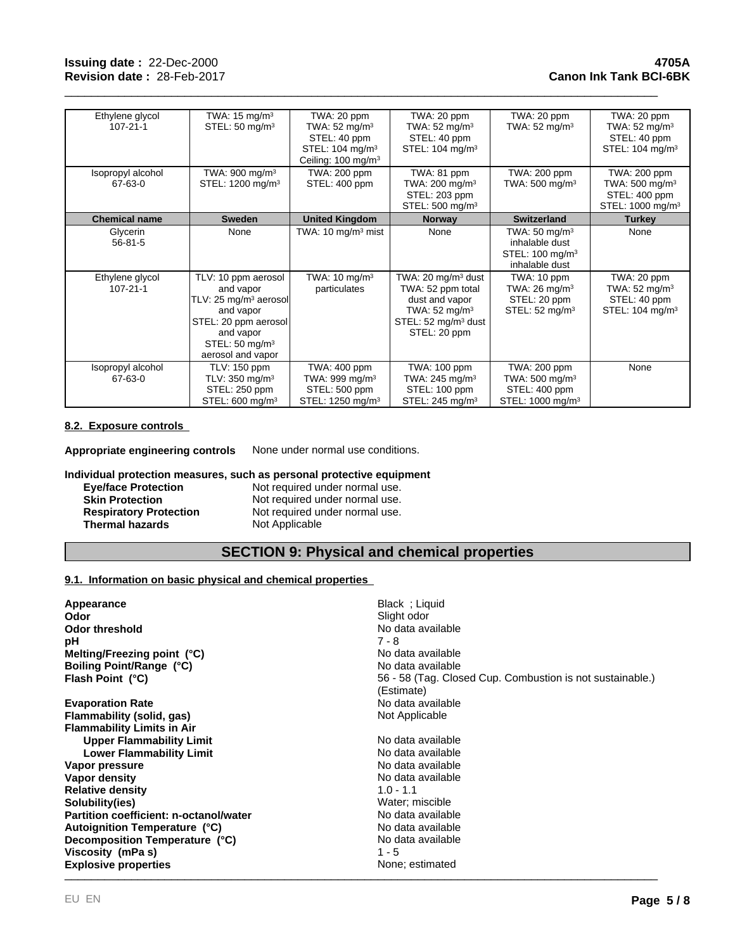| Ethylene glycol           | TWA: $15 \text{ mg/m}^3$          | TWA: 20 ppm                    | TWA: 20 ppm                    | TWA: 20 ppm                                                                                 | TWA: 20 ppm                  |
|---------------------------|-----------------------------------|--------------------------------|--------------------------------|---------------------------------------------------------------------------------------------|------------------------------|
| $107 - 21 - 1$            | STEL: $50 \text{ mg/m}^3$         | TWA: $52 \text{ mg/m}^3$       | TWA: $52 \text{ mg/m}^3$       | TWA: $52 \text{ mg/m}^3$                                                                    | TWA: $52 \text{ mg/m}^3$     |
|                           |                                   | STEL: 40 ppm                   | STEL: 40 ppm                   |                                                                                             | STEL: 40 ppm                 |
|                           |                                   | STEL: 104 mg/m <sup>3</sup>    | STEL: $104 \text{ mg/m}^3$     |                                                                                             | STEL: $104 \text{ mg/m}^3$   |
|                           |                                   | Ceiling: 100 mg/m <sup>3</sup> |                                |                                                                                             |                              |
| Isopropyl alcohol         | TWA: $900 \text{ mg/m}^3$         | TWA: 200 ppm                   | TWA: 81 ppm                    | TWA: 200 ppm                                                                                | TWA: 200 ppm                 |
| 67-63-0                   | STEL: 1200 mg/m <sup>3</sup>      | STEL: 400 ppm                  | TWA: $200 \text{ mg/m}^3$      | TWA: $500 \text{ mg/m}^3$                                                                   | TWA: $500 \text{ mg/m}^3$    |
|                           |                                   |                                | STEL: 203 ppm                  |                                                                                             | STEL: 400 ppm                |
|                           |                                   |                                | STEL: 500 mg/m <sup>3</sup>    |                                                                                             | STEL: 1000 mg/m <sup>3</sup> |
| <b>Chemical name</b>      | <b>Sweden</b>                     | <b>United Kingdom</b>          | <b>Norway</b>                  | <b>Switzerland</b>                                                                          | <b>Turkey</b>                |
| Glycerin<br>$56 - 81 - 5$ | None                              | TWA: $10 \text{ mg/m}^3$ mist  | None                           | TWA: $50 \text{ mg/m}^3$<br>inhalable dust<br>STEL: 100 mg/m <sup>3</sup><br>inhalable dust | None                         |
| Ethylene glycol           | TLV: 10 ppm aerosol               | TWA: $10 \text{ mg/m}^3$       | TWA: 20 mg/m $3$ dust          | TWA: 10 ppm                                                                                 | TWA: 20 ppm                  |
| $107 - 21 - 1$            | and vapor                         | particulates                   | TWA: 52 ppm total              | TWA: $26 \text{ mg/m}^3$                                                                    | TWA: $52 \text{ mg/m}^3$     |
|                           | TLV: 25 mg/m <sup>3</sup> aerosol |                                | dust and vapor                 | STEL: 20 ppm                                                                                | STEL: 40 ppm                 |
|                           | and vapor                         |                                | TWA: $52 \text{ mg/m}^3$       | STEL: $52 \text{ mg/m}^3$                                                                   | STEL: $104 \text{ mg/m}^3$   |
|                           | STEL: 20 ppm aerosol              |                                | STEL: $52 \text{ mg/m}^3$ dust |                                                                                             |                              |
|                           | and vapor                         |                                | STEL: 20 ppm                   |                                                                                             |                              |
|                           | STEL: $50 \text{ mg/m}^3$         |                                |                                |                                                                                             |                              |
|                           | aerosol and vapor                 |                                |                                |                                                                                             |                              |
| Isopropyl alcohol         | <b>TLV: 150 ppm</b>               | TWA: 400 ppm                   | TWA: 100 ppm                   | TWA: 200 ppm                                                                                | None                         |
| 67-63-0                   | TLV: $350 \text{ mg/m}^3$         | TWA: 999 mg/m $3$              | TWA: $245 \text{ mg/m}^3$      | TWA: 500 mg/m $3$                                                                           |                              |
|                           | STEL: 250 ppm                     | STEL: 500 ppm                  | STEL: 100 ppm                  | STEL: 400 ppm                                                                               |                              |
|                           | STEL: 600 mg/m <sup>3</sup>       | STEL: 1250 mg/m <sup>3</sup>   | STEL: 245 mg/m <sup>3</sup>    | STEL: 1000 mg/m <sup>3</sup>                                                                |                              |

\_\_\_\_\_\_\_\_\_\_\_\_\_\_\_\_\_\_\_\_\_\_\_\_\_\_\_\_\_\_\_\_\_\_\_\_\_\_\_\_\_\_\_\_\_\_\_\_\_\_\_\_\_\_\_\_\_\_\_\_\_\_\_\_\_\_\_\_\_\_\_\_\_\_\_\_\_\_\_\_\_\_\_\_\_\_\_\_\_

#### **8.2. Exposure controls**

**Appropriate engineering controls** None under normal use conditions.

**Individual protection measures, such as personal protective equipment** der normal use.

| <b>Eye/face Protection</b>    | Not required under normal use. |
|-------------------------------|--------------------------------|
| <b>Skin Protection</b>        | Not required under normal use. |
| <b>Respiratory Protection</b> | Not required under normal use. |
| <b>Thermal hazards</b>        | Not Applicable                 |

## **SECTION 9: Physical and chemical properties**

#### **9.1. Information on basic physical and chemical properties**

| Appearance                                    | Black; Liquid                                             |
|-----------------------------------------------|-----------------------------------------------------------|
| Odor                                          | Slight odor                                               |
| <b>Odor threshold</b>                         | No data available                                         |
| рH                                            | 7 - 8                                                     |
| Melting/Freezing point $(°C)$                 | No data available                                         |
| Boiling Point/Range (°C)                      | No data available                                         |
| Flash Point (°C)                              | 56 - 58 (Tag. Closed Cup. Combustion is not sustainable.) |
|                                               | (Estimate)                                                |
| <b>Evaporation Rate</b>                       | No data available                                         |
| Flammability (solid, gas)                     | Not Applicable                                            |
| <b>Flammability Limits in Air</b>             |                                                           |
| <b>Upper Flammability Limit</b>               | No data available                                         |
| <b>Lower Flammability Limit</b>               | No data available                                         |
| Vapor pressure                                | No data available                                         |
| Vapor density                                 | No data available                                         |
| <b>Relative density</b>                       | $1.0 - 1.1$                                               |
| Solubility(ies)                               | Water; miscible                                           |
| <b>Partition coefficient: n-octanol/water</b> | No data available                                         |
| Autoignition Temperature (°C)                 | No data available                                         |
| Decomposition Temperature (°C)                | No data available                                         |
| Viscosity (mPa s)                             | $1 - 5$                                                   |
| <b>Explosive properties</b>                   | None; estimated                                           |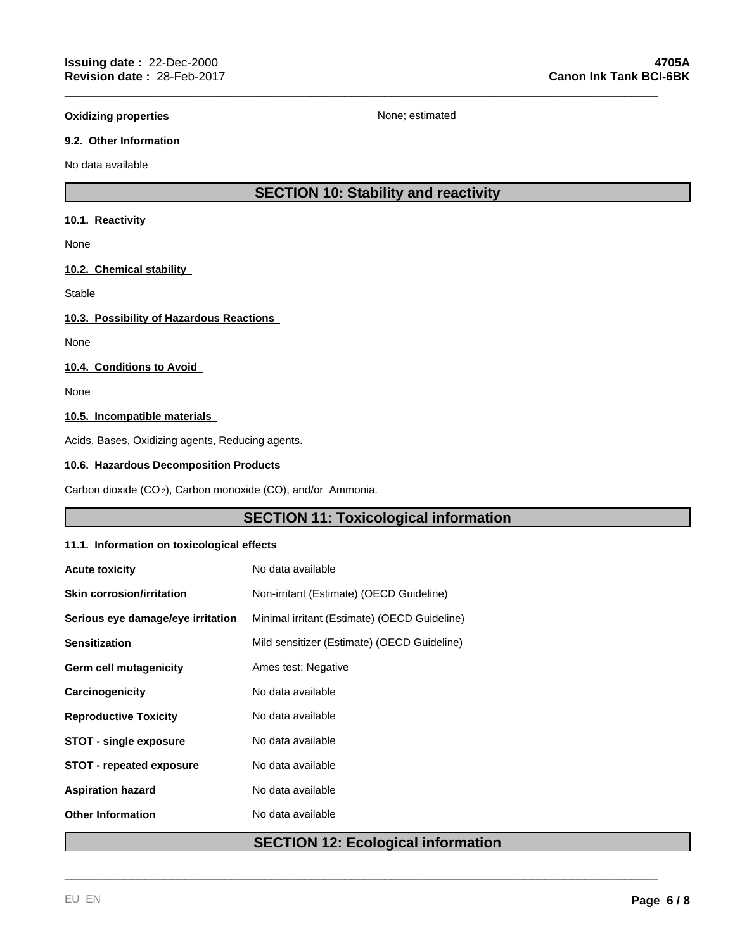\_\_\_\_\_\_\_\_\_\_\_\_\_\_\_\_\_\_\_\_\_\_\_\_\_\_\_\_\_\_\_\_\_\_\_\_\_\_\_\_\_\_\_\_\_\_\_\_\_\_\_\_\_\_\_\_\_\_\_\_\_\_\_\_\_\_\_\_\_\_\_\_\_\_\_\_\_\_\_\_\_\_\_\_\_\_\_\_\_

#### **9.2. Other Information**

No data available

## **SECTION 10: Stability and reactivity**

#### **10.1. Reactivity**

None

#### **10.2. Chemical stability**

Stable

#### **10.3. Possibility of Hazardous Reactions**

None

#### **10.4. Conditions to Avoid**

None

## **10.5. Incompatible materials**

Acids, Bases, Oxidizing agents, Reducing agents.

#### **10.6. Hazardous Decomposition Products**

Carbon dioxide (CO 2), Carbon monoxide (CO), and/or Ammonia.

## **SECTION 11: Toxicological information**

#### **11.1. Information on toxicological effects**

| <b>Acute toxicity</b>             | No data available                            |
|-----------------------------------|----------------------------------------------|
| <b>Skin corrosion/irritation</b>  | Non-irritant (Estimate) (OECD Guideline)     |
| Serious eye damage/eye irritation | Minimal irritant (Estimate) (OECD Guideline) |
| <b>Sensitization</b>              | Mild sensitizer (Estimate) (OECD Guideline)  |
| Germ cell mutagenicity            | Ames test: Negative                          |
| Carcinogenicity                   | No data available                            |
| <b>Reproductive Toxicity</b>      | No data available                            |
| <b>STOT - single exposure</b>     | No data available                            |
| <b>STOT - repeated exposure</b>   | No data available                            |
| <b>Aspiration hazard</b>          | No data available                            |
| <b>Other Information</b>          | No data available                            |
|                                   |                                              |

## **SECTION 12: Ecological information**

\_\_\_\_\_\_\_\_\_\_\_\_\_\_\_\_\_\_\_\_\_\_\_\_\_\_\_\_\_\_\_\_\_\_\_\_\_\_\_\_\_\_\_\_\_\_\_\_\_\_\_\_\_\_\_\_\_\_\_\_\_\_\_\_\_\_\_\_\_\_\_\_\_\_\_\_\_\_\_\_\_\_\_\_\_\_\_\_\_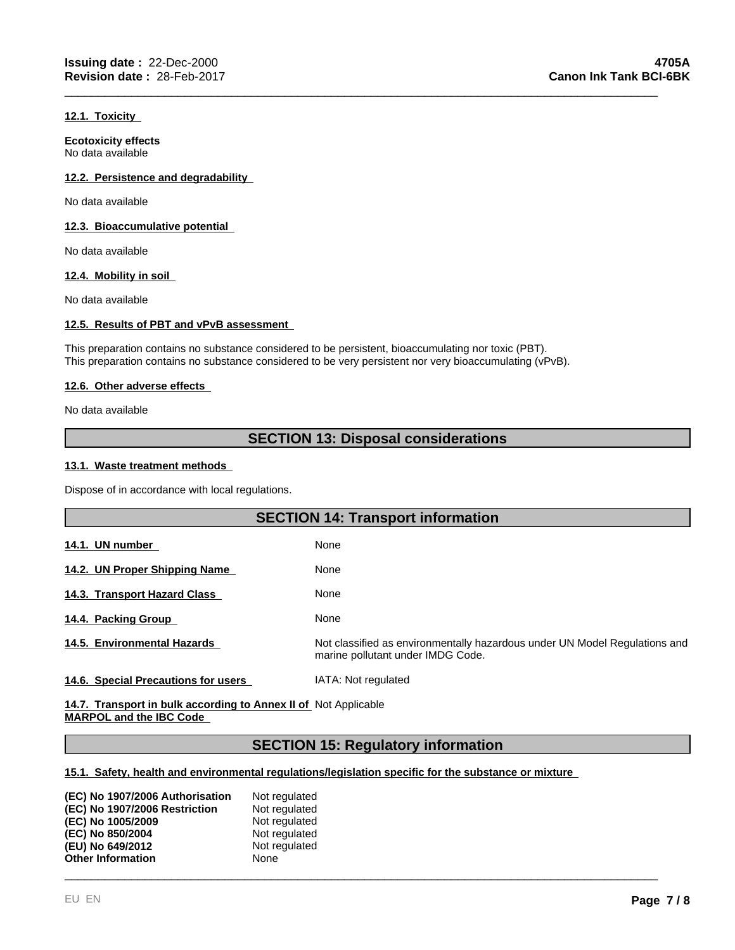#### **12.1. Toxicity**

**Ecotoxicity effects** No data available

#### **12.2. Persistence and degradability**

No data available

#### **12.3. Bioaccumulative potential**

No data available

#### **12.4. Mobility in soil**

No data available

#### **12.5. Results of PBT and vPvB assessment**

This preparation contains no substance considered to be persistent, bioaccumulating nor toxic (PBT). This preparation contains no substance considered to be very persistent nor very bioaccumulating (vPvB).

#### **12.6. Other adverse effects**

No data available

## **SECTION 13: Disposal considerations**

\_\_\_\_\_\_\_\_\_\_\_\_\_\_\_\_\_\_\_\_\_\_\_\_\_\_\_\_\_\_\_\_\_\_\_\_\_\_\_\_\_\_\_\_\_\_\_\_\_\_\_\_\_\_\_\_\_\_\_\_\_\_\_\_\_\_\_\_\_\_\_\_\_\_\_\_\_\_\_\_\_\_\_\_\_\_\_\_\_

#### **13.1. Waste treatment methods**

Dispose of in accordance with local regulations.

|                                                                 | <b>SECTION 14: Transport information</b>                                                                        |
|-----------------------------------------------------------------|-----------------------------------------------------------------------------------------------------------------|
| 14.1. UN number                                                 | None                                                                                                            |
| 14.2. UN Proper Shipping Name                                   | None                                                                                                            |
| 14.3. Transport Hazard Class                                    | None                                                                                                            |
| 14.4. Packing Group                                             | None                                                                                                            |
| 14.5. Environmental Hazards                                     | Not classified as environmentally hazardous under UN Model Regulations and<br>marine pollutant under IMDG Code. |
| 14.6. Special Precautions for users                             | IATA: Not regulated                                                                                             |
| 14.7. Transport in bulk according to Annex II of Not Applicable |                                                                                                                 |

**MARPOL and the IBC Code** 

## **SECTION 15: Regulatory information**

\_\_\_\_\_\_\_\_\_\_\_\_\_\_\_\_\_\_\_\_\_\_\_\_\_\_\_\_\_\_\_\_\_\_\_\_\_\_\_\_\_\_\_\_\_\_\_\_\_\_\_\_\_\_\_\_\_\_\_\_\_\_\_\_\_\_\_\_\_\_\_\_\_\_\_\_\_\_\_\_\_\_\_\_\_\_\_\_\_

#### **15.1. Safety, health and environmental regulations/legislation specific for the substance or mixture**

| (EC) No 1907/2006 Authorisation | Not regulated |
|---------------------------------|---------------|
| (EC) No 1907/2006 Restriction   | Not regulated |
| (EC) No 1005/2009               | Not regulated |
| (EC) No 850/2004                | Not regulated |
| (EU) No 649/2012                | Not regulated |
| <b>Other Information</b>        | None          |